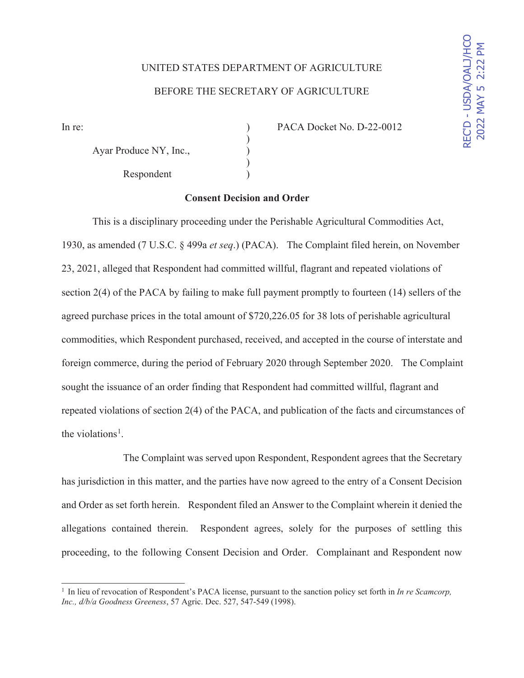## UNITED STATES DEPARTMENT OF AGRICULTURE BEFORE THE SECRETARY OF AGRICULTURE

Ayar Produce NY, Inc.,  $($ ) Respondent )

In re: (a) PACA Docket No. D-22-0012

### **Consent Decision and Order**

)

 $\mathcal{L}$ 

This is a disciplinary proceeding under the Perishable Agricultural Commodities Act, 1930, as amended (7 U.S.C. § 499a *et seq*.) (PACA). The Complaint filed herein, on November 23, 2021, alleged that Respondent had committed willful, flagrant and repeated violations of section 2(4) of the PACA by failing to make full payment promptly to fourteen (14) sellers of the agreed purchase prices in the total amount of \$720,226.05 for 38 lots of perishable agricultural commodities, which Respondent purchased, received, and accepted in the course of interstate and foreign commerce, during the period of February 2020 through September 2020. The Complaint sought the issuance of an order finding that Respondent had committed willful, flagrant and repeated violations of section 2(4) of the PACA, and publication of the facts and circumstances of the violations<sup>1</sup>.

The Complaint was served upon Respondent, Respondent agrees that the Secretary has jurisdiction in this matter, and the parties have now agreed to the entry of a Consent Decision and Order as set forth herein. Respondent filed an Answer to the Complaint wherein it denied the allegations contained therein. Respondent agrees, solely for the purposes of settling this proceeding, to the following Consent Decision and Order. Complainant and Respondent now

<sup>1</sup> In lieu of revocation of Respondent's PACA license, pursuant to the sanction policy set forth in *In re Scamcorp, Inc., d/b/a Goodness Greeness*, 57 Agric. Dec. 527, 547-549 (1998).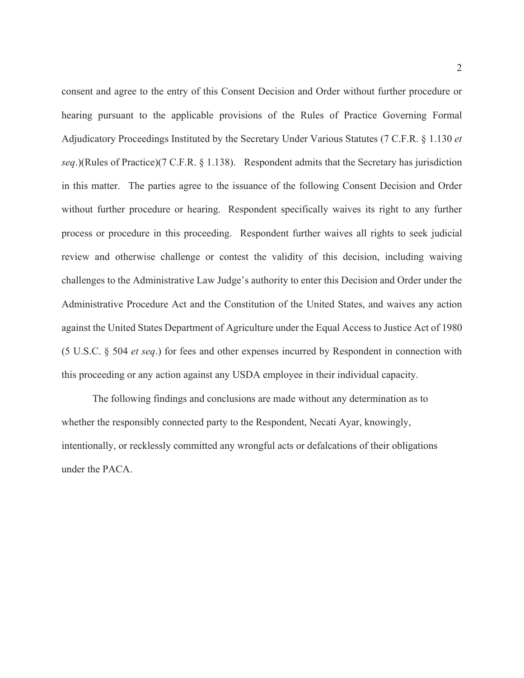consent and agree to the entry of this Consent Decision and Order without further procedure or hearing pursuant to the applicable provisions of the Rules of Practice Governing Formal Adjudicatory Proceedings Instituted by the Secretary Under Various Statutes (7 C.F.R. § 1.130 *et seq*.)(Rules of Practice)(7 C.F.R. § 1.138). Respondent admits that the Secretary has jurisdiction in this matter. The parties agree to the issuance of the following Consent Decision and Order without further procedure or hearing. Respondent specifically waives its right to any further process or procedure in this proceeding. Respondent further waives all rights to seek judicial review and otherwise challenge or contest the validity of this decision, including waiving challenges to the Administrative Law Judge's authority to enter this Decision and Order under the Administrative Procedure Act and the Constitution of the United States, and waives any action against the United States Department of Agriculture under the Equal Access to Justice Act of 1980 (5 U.S.C. § 504 *et seq*.) for fees and other expenses incurred by Respondent in connection with this proceeding or any action against any USDA employee in their individual capacity.

The following findings and conclusions are made without any determination as to whether the responsibly connected party to the Respondent, Necati Ayar, knowingly, intentionally, or recklessly committed any wrongful acts or defalcations of their obligations under the PACA.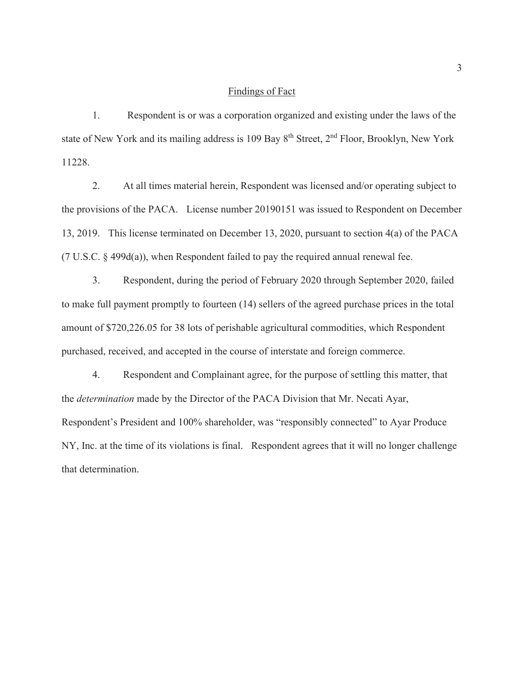#### Findings of Fact

 1. Respondent is or was a corporation organized and existing under the laws of the state of New York and its mailing address is 109 Bay  $8<sup>th</sup>$  Street,  $2<sup>nd</sup>$  Floor, Brooklyn, New York 11228.

 2. At all times material herein, Respondent was licensed and/or operating subject to the provisions of the PACA. License number 20190151 was issued to Respondent on December 13, 2019. This license terminated on December 13, 2020, pursuant to section 4(a) of the PACA (7 U.S.C. § 499d(a)), when Respondent failed to pay the required annual renewal fee.

 3. Respondent, during the period of February 2020 through September 2020, failed to make full payment promptly to fourteen (14) sellers of the agreed purchase prices in the total amount of \$720,226.05 for 38 lots of perishable agricultural commodities, which Respondent purchased, received, and accepted in the course of interstate and foreign commerce.

4. Respondent and Complainant agree, for the purpose of settling this matter, that the *determination* made by the Director of the PACA Division that Mr. Necati Ayar, Respondent's President and 100% shareholder, was "responsibly connected" to Ayar Produce NY, Inc. at the time of its violations is final. Respondent agrees that it will no longer challenge that determination.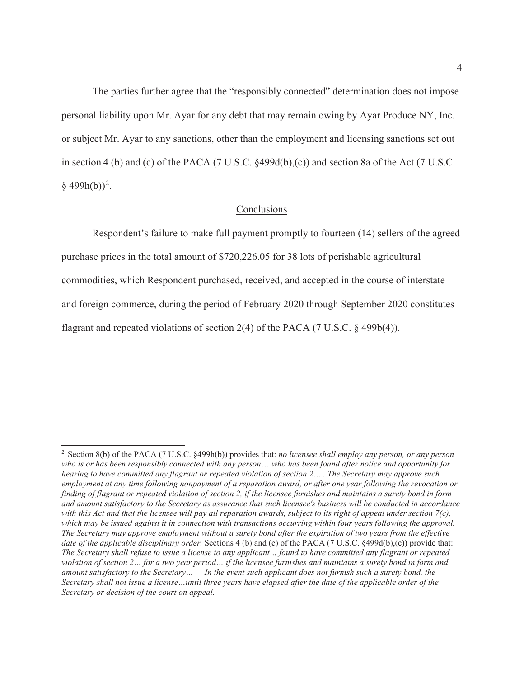The parties further agree that the "responsibly connected" determination does not impose personal liability upon Mr. Ayar for any debt that may remain owing by Ayar Produce NY, Inc. or subject Mr. Ayar to any sanctions, other than the employment and licensing sanctions set out in section 4 (b) and (c) of the PACA (7 U.S.C. §499d(b),(c)) and section 8a of the Act (7 U.S.C.  $\S$  499h(b))<sup>2</sup>.

#### Conclusions

Respondent's failure to make full payment promptly to fourteen (14) sellers of the agreed purchase prices in the total amount of \$720,226.05 for 38 lots of perishable agricultural commodities, which Respondent purchased, received, and accepted in the course of interstate and foreign commerce, during the period of February 2020 through September 2020 constitutes flagrant and repeated violations of section 2(4) of the PACA (7 U.S.C. § 499b(4)).

<sup>2</sup> Section 8(b) of the PACA (7 U.S.C. §499h(b)) provides that: *no licensee shall employ any person, or any person who is or has been responsibly connected with any person*… *who has been found after notice and opportunity for hearing to have committed any flagrant or repeated violation of section 2… . The Secretary may approve such employment at any time following nonpayment of a reparation award, or after one year following the revocation or finding of flagrant or repeated violation of section 2, if the licensee furnishes and maintains a surety bond in form and amount satisfactory to the Secretary as assurance that such licensee's business will be conducted in accordance with this Act and that the licensee will pay all reparation awards, subject to its right of appeal under section 7(c),*  which may be issued against it in connection with transactions occurring within four years following the approval. *The Secretary may approve employment without a surety bond after the expiration of two years from the effective date of the applicable disciplinary order.* Sections 4 (b) and (c) of the PACA (7 U.S.C. §499d(b),(c)) provide that: *The Secretary shall refuse to issue a license to any applicant… found to have committed any flagrant or repeated violation of section 2… for a two year period… if the licensee furnishes and maintains a surety bond in form and amount satisfactory to the Secretary… . In the event such applicant does not furnish such a surety bond, the Secretary shall not issue a license…until three years have elapsed after the date of the applicable order of the Secretary or decision of the court on appeal.*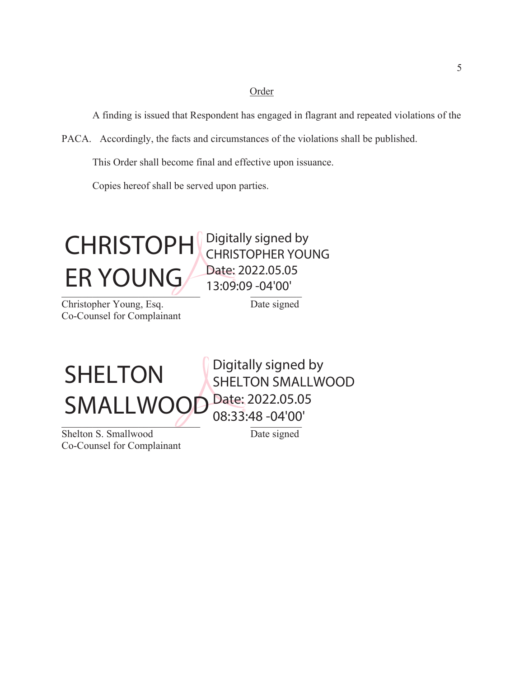#### Order

A finding is issued that Respondent has engaged in flagrant and repeated violations of the

PACA. Accordingly, the facts and circumstances of the violations shall be published.

This Order shall become final and effective upon issuance.

Copies hereof shall be served upon parties.



Christopher Young, Esq. Date signed Co-Counsel for Complainant

Digitally signed by

# $21$ SHELTON SMALLWOOD

Shelton S. Smallwood Date signed Co-Counsel for Complainant

SHELTON SMALLWOOD Date: 2022.05.05